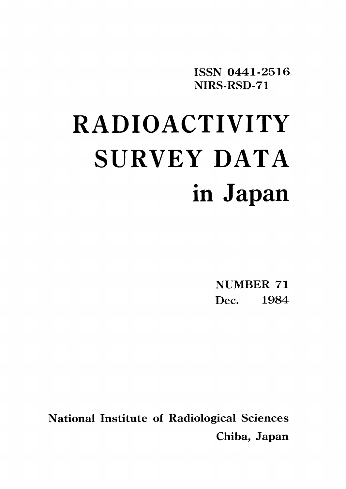ISSN 0441-2516 NIRS-RSD-71

# **RADIOACTIVITY** SURVEY DATA in Japan

**NUMBER 71** Dec. 1984

**National Institute of Radiological Sciences** Chiba, Japan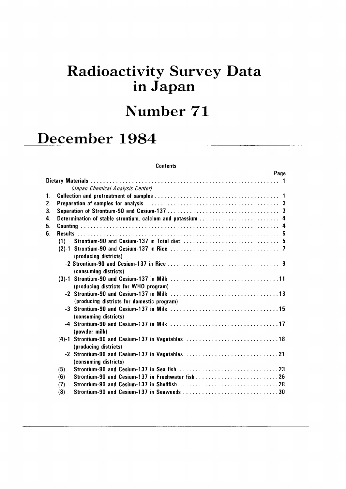# Radioactivity Survey Data in Japan

# Number 71

# December 1984

#### **Contents**

|    |                       |                                                    | <b>Page</b> |  |
|----|-----------------------|----------------------------------------------------|-------------|--|
|    |                       |                                                    |             |  |
|    |                       | (Japan Chemical Analysis Center)                   |             |  |
|    |                       |                                                    |             |  |
| 2. |                       |                                                    |             |  |
| 3. |                       |                                                    |             |  |
| 4. |                       |                                                    |             |  |
| 5. |                       |                                                    |             |  |
| 6. |                       |                                                    |             |  |
|    | (1)                   |                                                    |             |  |
|    | (producing districts) |                                                    |             |  |
|    | (consuming districts) |                                                    |             |  |
|    |                       | (producing districts for WHO program)              |             |  |
|    |                       | (producing districts for domestic program)         |             |  |
|    | (consuming districts) |                                                    |             |  |
|    | (powder milk)         |                                                    |             |  |
|    | (producing districts) | (4)-1 Strontium-90 and Cesium-137 in Vegetables 18 |             |  |
|    | (consuming districts) | -2 Strontium-90 and Cesium-137 in Vegetables 21    |             |  |
|    | (5)                   |                                                    |             |  |
|    | (6)                   | Strontium-90 and Cesium-137 in Freshwater fish 26  |             |  |
|    | (7)                   | Strontium-90 and Cesium-137 in Shellfish 28        |             |  |
|    | (8)                   |                                                    |             |  |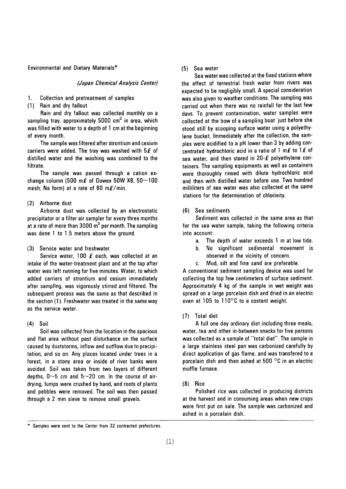Environmental and Dietary Materials\*

#### (Japan Chemical Analysis Center)

- 1. Collection and pretreatment of samples
- (1) Rain and dry fallout

Rain and dry fallout was collected monthly on a sampling tray, approximately 5000  $\text{cm}^2$  in area, which was filled with water to a depth of 1 cm at the beginning of every month.

The sample was filtered after strontium and cesium carriers were added. The tray was washed with  $5\ell$  of distilled water and the washing was combined to the filtrate.

The sample was passed through a cation exchange column (500 m $\ell$  of Dowex 50W X8, 50~100 mesh, Na form) at a rate of 80 ml/min.

#### (2) Airborne dust

Airborne dust was collected by an electrostatic precipitator or a filter air sampler for every three months at a rate of more than  $3000 \text{ m}^3$  per month. The sampling was done 1 to 1.5 meters above the ground.

#### Service water and freshwater  $(3)$

Service water, 100  $\ell$  each, was collected at an intake of the water-treatment plant and at the tap after water was left running for five minutes. Water, to which added carriers of strontium and cesium immediately after sampling, was vigorously stirred and filtered. The subsequent process was the same as that described in the section (1). Freshwater was treated in the same way as the service water.

## $(4)$  Soil

Soil was collected from the location in the spacious and flat area without past disturbance on the surface caused by duststorms, inflow and outflow due to precipitation, and so on. Any places located under trees in a forest, in a stony area or inside of river banks were avoided. Soil was taken from two layers of different depths,  $0~5$  cm and  $5~20$  cm. In the course of airdrying, lumps were crushed by hand, and roots of plants and pebbles were removed. The soil was then passed through a 2 mm sieve to remove small gravels.

#### (5) Sea water

Sea water was collected at the fixed stations where the effect of terrestrial fresh water from rivers was expected to be negligibly small. A special consideration was also given to weather conditions. The sampling was carried out when there was no rainfall for the last few davs. To prevent contamination, water samples were collected at the bow of a sampling boat just before she stood still by scooping surface water using a polyethylene bucket. Immediately after the collection, the samples were acidified to a pH lower than 3 by adding concentrated hydrochloric acid in a ratio of 1 m $\ell$  to 1 $\ell$  of sea water, and then stored in 20- $\ell$  polyethylene containers. The sampling equipments as well as containers were thoroughly rinsed with dilute hydrochloric acid and then with distilled water before use. Two hundred milliliters of sea water was also collected at the same stations for the determination of chlorinity.

#### (6) Sea sediments

Sediment was collected in the same area as that for the sea water sample, taking the following criteria into account:

- The depth of water exceeds 1 m at low tide.  $a<sub>1</sub>$
- **.** No significant sedimental movement is observed in the vicinity of concern.
- Mud, silt and fine sand are preferable. C.

A conventional sediment sampling device was used for collecting the top few centimeters of surface sediment. Approximately 4 kg of the sample in wet weight was spread on a large porcelain dish and dried in an electric oven at 105 to 110°C to a costant weight.

#### (7) Total diet

A full one day ordinary diet including three meals, water, tea and other in-between snacks for five persons was collected as a sample of "total diet". The sample in a large stainless steel pan was carbonized carefully by direct application of gas flame, and was transfered to a porcelain dish and then ashed at 500  $\degree$ C in an electric muffle furnace.

#### $(8)$  Rice

Polished rice was collected in producing districts at the harvest and in consuming areas when new crops were first put on sale. The sample was carbonized and ashed in a porcelain dish.

<sup>\*</sup> Samples were sent to the Center from 32 contracted prefectures.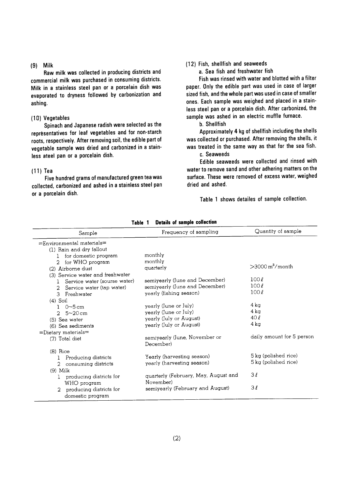#### $(9)$  Milk

Raw milk was collected in producing districts and commercial milk was purchased in consuming districts. Milk in a stainless steel pan or a porcelain dish was evaporated to dryness followed by carbonization and ashing.

#### (10) Vegetables

Spinach and Japanese radish were selected as the representatives for leaf vegetables and for non-starch roots, respectively. After removing soil, the edible part of vegetable sample was dried and carbonized in a stainless ateel pan or a porcelain dish.

#### $(11)$  Tea

Five hundred grams of manufactured green tea was collected, carbonized and ashed in a stainless steel pan or a porcelain dish.

## (12) Fish, shellfish and seaweeds

a. Sea fish and freshwater fish

Fish was rinsed with water and blotted with a filter paper. Only the edible part was used in case of larger sized fish, and the whole part was used in case of smaller ones. Each sample was weighed and placed in a stainless steel pan or a porcelain dish. After carbonized, the sample was ashed in an electric muffle furnace.

#### b. Shellfish

Approximately 4 kg of shellfish including the shells was collected or purchased. After removing the shells, it was treated in the same way as that for the sea fish.

## c. Seaweeds

Edible seaweeds were collected and rinsed with water to remove sand and other adhering matters on the surface. These were removed of excess water, weighed dried and ashed.

Table 1 shows detailes of sample collection.

| Sample                                                | Frequency of sampling                | Quantity of sample             |
|-------------------------------------------------------|--------------------------------------|--------------------------------|
| =Environmental materials=<br>(1) Rain and dry fallout |                                      |                                |
| for domestic program                                  | monthly                              |                                |
| for WHO program<br>2                                  | monthly                              | $>$ 3000 m <sup>3</sup> /month |
| (2) Airborne dust                                     | quarterly                            |                                |
| (3) Service water and freshwater                      | semiyearly (June and December)       | 100l                           |
| Service water (sourse water)<br>-1                    | semiyearly (June and December)       | $100\ell$                      |
| Service water (tap water)<br>2                        | yearly (fishing season)              | $100\ell$                      |
| 3<br>Freshwater                                       |                                      |                                |
| $(4)$ Soil                                            | yearly (June or July)                | 4 ka                           |
| $0\neg 5$ cm<br>2 $5 - 20$ cm                         | yearly (June or July)                | 4 kg                           |
| (5) Sea water                                         | yearly (July or August)              | 40l                            |
| (6) Sea sediments                                     | yearly (July or August)              | 4 kg                           |
| $=$ Dietary materials $=$                             |                                      |                                |
| (7) Total diet                                        | semiyearly (June, November or        | daily amount for 5 person      |
|                                                       | December)                            |                                |
| $(8)$ Rice                                            |                                      |                                |
| Producing districts<br>1                              | Yearly (harvesting season)           | 5 kg (polished rice)           |
| consuming districts<br>2                              | yearly (harvesting season)           | 5 kg (polished rice)           |
| $(9)$ Milk                                            |                                      |                                |
| producing districts for<br>1                          | quarterly (February, May, August and | 3l                             |
| WHO program                                           | November)                            |                                |
| producing districts for                               | semiyearly (February and August)     | 3l                             |
| domestic program                                      |                                      |                                |

**Details of sample collection** Table 1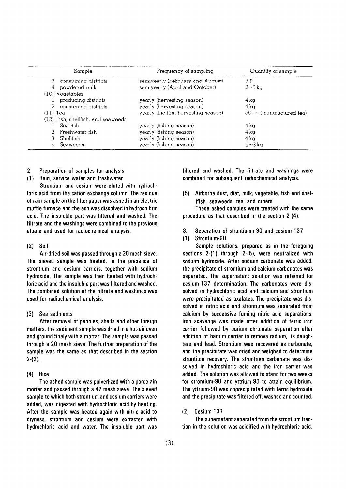| Sample                             | Frequency of sampling                | Quantity of sample      |
|------------------------------------|--------------------------------------|-------------------------|
| consuming districts<br>3.          | semiyearly (February and August)     | 3 L                     |
| powdered milk<br>4                 | semiyearly (April and October)       | $2\sim3$ kg             |
| $(10)$ Vegetables                  |                                      |                         |
| producing districts                | yearly (hervesting season)           | 4 ka                    |
| 2 consuming districts              | yearly (harvesting season)           | $4\,\mathrm{k}$ a       |
| $(11)$ Tea                         | yearly (the first harvesting season) | 500g (manufactured tea) |
| (12) Fish, shellfish, and seaweeds |                                      |                         |
| Sea fish                           | yearly (fishing season)              | 4 ka                    |
| Freshwater fish                    | yearly (fishing season)              | 4 ka                    |
| Shellfish<br>3.                    | yearly (fishing season)              | $4\,\mathrm{k}\alpha$   |
| Seaweeds<br>4                      | yearly (fishing season)              | $2 \sim 3$ kg           |

- $2.$ Preparation of samples for analysis
- $(1)$ Rain, service water and freshwater

Strontium and cesium were eluted with hydrochloric acid from the cation exchange column. The residue of rain sample on the filter paper was ashed in an electric muffle furnace and the ash was dissolved in hydrochlbric acid. The insoluble part was filtered and washed. The filtrate and the washings were combined to the previous eluate and used for radiochemical analysis.

## $(2)$  Soil

Air-dried soil was passed through a 20 mesh sieve. The sieved sample was heated, in the presence of strontium and cesium carriers, together with sodium hydroxide. The sample was then heated with hydrochloric acid and the insoluble part was filtered and washed. The combined solution of the filtrate and washings was used for radiochemical analysis.

#### $(3)$ Sea sedments

After removal of pebbles, shells and other foreign matters, the sediment sample was dried in a hot-air oven and ground finely with a mortar. The sample was passed through a 20 mesh sieve. The further preparation of the sample was the same as that described in the section  $2-(2)$ .

#### $(4)$  Rice

The ashed sample was pulverlized with a porcelain mortar and passed through a 42 mesh sieve. The sieved sample to which both strontium and cesium carriers were added, was digested with hydrochloric acid by heating. After the sample was heated again with nitric acid to dryness, strontium and cesium were extracted with hydrochloric acid and water. The insoluble part was filtered and washed. The filtrate and washings were combined for subsequent radiochemical analysis.

(5) Airborne dust, diet, milk, vegetable, fish and shel-Ifish, seaweeds, tea, and others.

These ashed samples were treated with the same procedure as that described in the section 2-(4).

- Separation of strontiunm-90 and cesium-137 3.
- (1) Strontium-90

Sample solutions, prepared as in the foregoing sections 2-(1) through 2-(5), were neutralized with sodium hydroxide. After sodium carbonate was added, the precipitate of strontium and calcium carbonates was separated. The supernatant solution was retained for cesium-137 determination. The carbonates were dissolved in hydrochloric acid and calcium and strontium were precipitated as oxalates. The precipitate was dissolved in nitric acid and strontium was separated from calcium by successive fuming nitric acid separations. Iron scavenge was made after addition of ferric iron carrier followed by barium chromate separation after addition of barium carrier to remove radium, its daughters and lead. Strontium was recovered as carbonate, and the precipitate was dried and weighed to determine strontium recovery. The strontium carbonate was dissolved in hydrochloric acid and the iron carrier was added. The solution was allowed to stand for two weeks for strontium-90 and yttrium-90 to attain equilibrium. The yttrium-90 was coprecipitated with ferric hydroxide and the precipitate was filtered off, washed and counted.

#### $(2)$  Cesium-137

The supernatant separated from the strontium fraction in the solution was acidified with hydrochloric acid.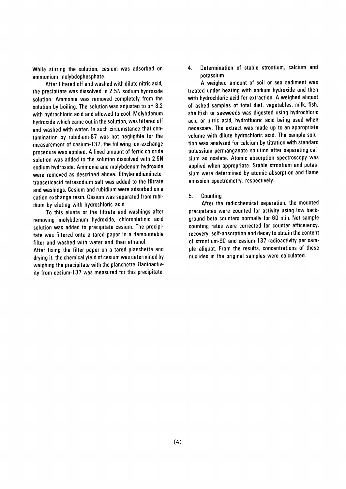While stirring the solution, cesium was adsorbed on ammonium molybdophosphate.

After filtered off and washed with dilute nitric acid, the precipitate was dissolved in 2.5N sodium hydroxide solution. Ammonia was removed completely from the solution by boiling. The solution was adjusted to pH 8.2 with hydrochloric acid and allowed to cool. Molybdenum hydroxide which came out in the solution, was filtered off and washed with water. In such circumstance that contamination by rubidium-87 was not negligible for the measurement of cesium-137, the follwing ion-exchange procedure was applied. A fixed amount of ferric chloride solution was added to the solution dissolved with 2.5N sodium hydroxide. Ammonia and molybdenum hydroxide were removed as described above. Ethylenediaminetetraaceticacid tetrasodium salt was added to the filtrate and washings. Cesium and rubidium were adsorbed on a cation exchange resin. Cesium was separated from rubidium by eluting with hydrochloric acid.

To this eluate or the filtrate and washings after removing molybdenum hydroxide, chloroplatinic acid solution was added to precipitate cesium. The precipitate was filtered onto a tared paper in a demountable filter and washed with water and then ethanol.

After fixing the filter paper on a tared planchette and drying it, the chemical yield of cesium was determined by weighing the precipitate with the planchette. Radioactivity from cesium-137 was measured for this precipitate.

Determination of stable strontium, calcium and 4. potassium

A weighed amount of soil or sea sediment was treated under heating with sodium hydroxide and then with hydrochloric acid for extraction. A weighed aliquot of ashed samples of total diet, vegetables, milk, fish, shellfish or seeweeds was digested using hydrochloric acid or nitric acid, hydrofluoric acid being used when necessary. The extract was made up to an appropriate volume with dilute hydrochloric acid. The sample solution was analyzed for calcium by titration with standard potassium permanganate solution after separating calcium as oxalate. Atomic absorption spectroscopy was applied when appropriate. Stable strontium and potassium were determined by atomic absorption and flame emission spectrometry, respectively.

 $5.$ Countina

After the radiochemical separation, the mounted precipitates were counted for activity using low background beta counters normally for 60 min. Net sample counting rates were corrected for counter efficeiency, recovery, self-absorption and decay to obtain the content of strontium-90 and cesium-137 radioactivity per sample aliquot. From the results, concentrations of these nuclides in the original samples were calculated.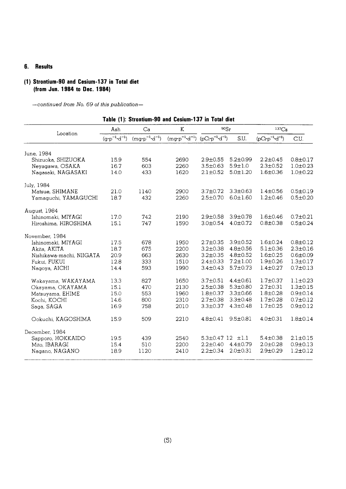#### **Results** 6.

# (1) Strontium-90 and Cesium-137 in Total diet (from Jun. 1984 to Dec. 1984)

|                          |                                 | Table (1): Strontium-90 and Cesium-137 in Total diet |                                                                    |                             |                |                                   |                |
|--------------------------|---------------------------------|------------------------------------------------------|--------------------------------------------------------------------|-----------------------------|----------------|-----------------------------------|----------------|
|                          | Ash                             | Ca                                                   | K                                                                  | $90S_r$                     |                | $137C_S$                          |                |
| Location                 | $(q \cdot p^{-1} \cdot d^{-1})$ | $(mq \cdot p^{-1} \cdot d^{-1})$                     | $(mq \cdot p^{-1} \cdot d^{-1})$ $(pCi \cdot p^{-1} \cdot d^{-1})$ |                             | S.U.           | $(pCi \cdot p^{-1} \cdot d^{-1})$ | C.U.           |
| June, 1984               |                                 |                                                      |                                                                    |                             |                |                                   |                |
| Shizuoka, SHIZUOKA       | 15.9                            | 554                                                  | 2690                                                               | $2.9 \pm 0.55$              | $5.2 \pm 0.99$ | $2.2 \pm 0.45$                    | $0.8 \pm 0.17$ |
| Neyagawa, OSAKA          | 16.7                            | 603                                                  | 2260                                                               | $3.5 \pm 0.63$              | $5.9 \pm 1.0$  | $2.3 \pm 0.52$                    | $1.0 + 0.23$   |
| Nagasaki, NAGASAKI       | 14.0                            | 433                                                  | 1620                                                               | $2.1 \pm 0.52$              | $5.0 \pm 1.20$ | $1.6 \pm 0.36$                    | $1.0 \pm 0.22$ |
| July, 1984               |                                 |                                                      |                                                                    |                             |                |                                   |                |
| Matsue, SHIMANE          | 21.0                            | 1140                                                 | 2900                                                               | $3.7 \pm 0.72$              | $3.3 \pm 0.63$ | $1.4 \pm 0.56$                    | $0.5 \pm 0.19$ |
| Yamaguchi, YAMAGUCHI     | 18.7                            | 432                                                  | 2260                                                               | $2.5 \pm 0.70$              | $6.0 \pm 1.60$ | $1.2 \pm 0.46$                    | $0.5 \pm 0.20$ |
| August, 1984             |                                 |                                                      |                                                                    |                             |                |                                   |                |
| Ishinomaki, MIYAGI       | 17.0                            | 742                                                  | 2190                                                               | $2.9 \pm 0.58$              | $3.9 + 0.78$   | $1.6 \pm 0.46$                    | $0.7 \pm 0.21$ |
| Hiroshima, HIROSHIMA     | 15.1                            | 747                                                  | 1590                                                               | $3.0 \pm 0.54$              | $4.0 \pm 0.72$ | $0.8 \pm 0.38$                    | $0.5 \pm 0.24$ |
| November, 1984           |                                 |                                                      |                                                                    |                             |                |                                   |                |
| Ishinomaki, MIYAGI       | 17.5                            | 678                                                  | 1950                                                               | $2.7 \pm 0.35$              | $3.9 \pm 0.52$ | $1.6 \pm 0.24$                    | $0.8 \pm 0.12$ |
| Akita, AKITA             | 18.7                            | 675                                                  | 2200                                                               | $3.2 \pm 0.38$              | $4.8 \pm 0.56$ | $5.1 \pm 0.36$                    | $2.3 \pm 0.16$ |
| Nishikawa-machi, NIIGATA | 20.9                            | 663                                                  | 2630                                                               | $3.2 \pm 0.35$              | $4.8 \pm 0.52$ | $1.6 \pm 0.25$                    | $0.6 \pm 0.09$ |
| Fukui, FUKUI             | 12.8                            | 333                                                  | 1510                                                               | $2.4 \pm 0.33$              | $7.2 \pm 1.00$ | $1.9 + 0.26$                      | $1.3 \pm 0.17$ |
| Nagoya, AICHI            | 14.4                            | 593                                                  | 1990                                                               | $3.4 \pm 0.43$              | $5.7 \pm 0.73$ | $1.4 + 0.27$                      | $0.7 + 0.13$   |
| Wakayama, WAKAYAMA       | 13.3                            | 827                                                  | 1650                                                               | $3.7 \pm 0.51$              | $4.4 \pm 0.61$ | $1.7 \pm 0.37$                    | $1.1 \pm 0.23$ |
| Okayama, OKAYAMA         | 15.1                            | 470                                                  | 2130                                                               | $2.5 \pm 0.38$              | $5.3 \pm 0.80$ | $2.7 \pm 0.31$                    | $1.3 + 0.15$   |
| Matsuyama, EHIME         | 15.0                            | 553                                                  | 1960                                                               | $1.8 \pm 0.37$              | $3.3 \pm 0.66$ | $1.8 \pm 0.28$                    | $0.9 \pm 0.14$ |
| Kochi, KOCHI             | 14.6                            | 800                                                  | 2310                                                               | $2.7 \pm 0.38$              | $3.3 \pm 0.48$ | $1.7 \pm 0.28$                    | $0.7 + 0.12$   |
| Saga, SAGA               | 16.9                            | 758                                                  | 2010                                                               | $3.3 \pm 0.37$              | $4.3 \pm 0.48$ | $1.7 \pm 0.25$                    | $0.9 + 0.12$   |
| Ookuchi, KAGOSHIMA       | 15.9                            | 509                                                  | 2210                                                               | $4.8 \pm 0.41$              | $9.5 \pm 0.81$ | $4.0 \pm 0.31$                    | $1.8 \pm 0.14$ |
| December, 1984           |                                 |                                                      |                                                                    |                             |                |                                   |                |
| Sapporo, HOKKAIDO        | 19.5                            | 439                                                  | 2540                                                               | $5.3 \pm 0.47$ 12 $\pm 1.1$ |                | $5.4 \pm 0.38$                    | $2.1 \pm 0.15$ |
| Mito. IBARAGI            | 15.4                            | 510                                                  | 2200                                                               | $2.2 \pm 0.40$              | $4.4 \pm 0.79$ | $2.0 \pm 0.28$                    | $0.9 \pm 0.13$ |
| Nagano, NAGANO           | 18.9                            | 1120                                                 | 2410                                                               | $2.2 \pm 0.34$              | $2.0 \pm 0.31$ | $2.9 \pm 0.29$                    | $1.2 \pm 0.12$ |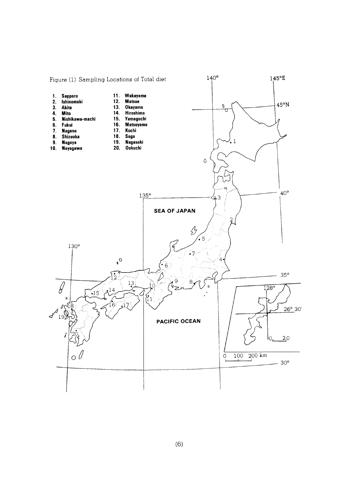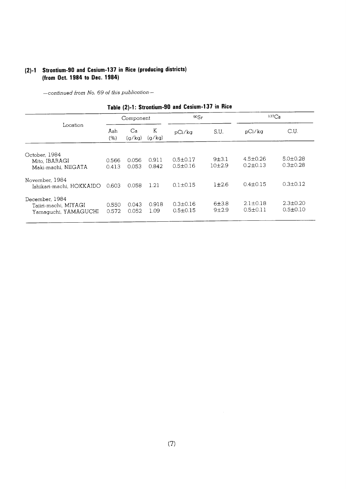# (2)-1 Strontium-90 and Cesium-137 in Rice (producing districts) (from Oct. 1984 to Dec. 1984)

|                                                                |                | Component      |                | 90Sr                             |                       | $137C_S$                         |                                  |  |
|----------------------------------------------------------------|----------------|----------------|----------------|----------------------------------|-----------------------|----------------------------------|----------------------------------|--|
| Location                                                       | Ash<br>(%)     | Ca<br>(q/kq)   | K<br>(q/kq)    | pCi/kg                           | S.U.                  | pCi/kg                           | C.U.                             |  |
| October, 1984<br>Mito, IBARAGI<br>Maki-machi, NIIGATA          | 0.566<br>0.413 | 0.056<br>0.053 | 0.911<br>0.842 | $0.5 \pm 0.17$<br>$0.5 \pm 0.16$ | $9 + 3.1$<br>$10+2.9$ | $4.5 \pm 0.26$<br>$0.2 \pm 0.13$ | $5.0 + 0.28$<br>$0.3 \pm 0.28$   |  |
| November, 1984<br>Ishikari-machi, HOKKAIDO                     | 0.603          | 0.058          | 1.21           | $0.1 \pm 0.15$                   | $1 + 2.6$             | $0.4 \pm 0.15$                   | $0.3 \pm 0.12$                   |  |
| December, 1984<br>Tajiri-machi, MIYAGI<br>Yamaguchi, YAMAGUCHI | 0.550<br>0.572 | 0.043<br>0.052 | 0.918<br>1.09  | $0.3 \pm 0.16$<br>$0.5 \pm 0.15$ | 6±3.8<br>$9+2.9$      | $2.1 \pm 0.18$<br>$0.5 \pm 0.11$ | $2.3 \pm 0.20$<br>$0.5 \pm 0.10$ |  |

| Table (2)-1: Strontium-90 and Cesium-137 in Rice |  |  |  |  |
|--------------------------------------------------|--|--|--|--|
|--------------------------------------------------|--|--|--|--|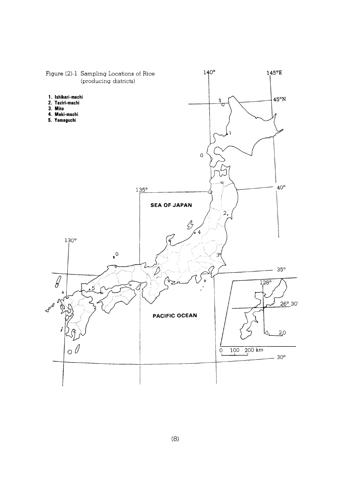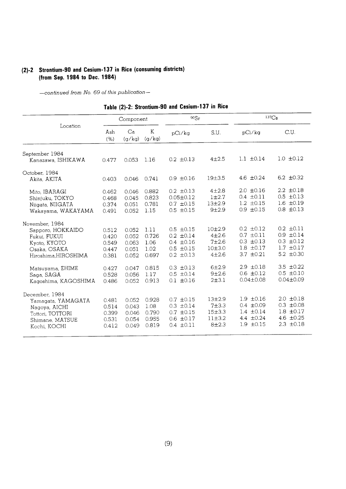# (2)-2 Strontium-90 and Cesium-137 in Rice (consuming districts) (from Sep. 1984 to Dec. 1984)

|                                                                                                                                               |                                                             | Component                                                   |                                                         | 90Sr                                                                                                                       |                                                                                     | $137C_S$                                                                                                                   |                                                                                                                            |  |
|-----------------------------------------------------------------------------------------------------------------------------------------------|-------------------------------------------------------------|-------------------------------------------------------------|---------------------------------------------------------|----------------------------------------------------------------------------------------------------------------------------|-------------------------------------------------------------------------------------|----------------------------------------------------------------------------------------------------------------------------|----------------------------------------------------------------------------------------------------------------------------|--|
| Location                                                                                                                                      | Ash<br>(% )                                                 | Ca<br>(a/ka)                                                | K<br>(q/kg)                                             | pCi/kg                                                                                                                     | S.U.                                                                                | pCi/ka                                                                                                                     | C.U.                                                                                                                       |  |
| September 1984<br>Kanazawa, ISHIKAWA                                                                                                          | 0.477                                                       | 0.053                                                       | 1.16                                                    | $0.2 \pm 0.13$                                                                                                             | $4 + 2.5$                                                                           | $1.1 \pm 0.14$                                                                                                             | $1.0 \pm 0.12$                                                                                                             |  |
| October, 1984<br>Akita, AKITA                                                                                                                 | 0.403                                                       | 0.046                                                       | 0.741                                                   | $0.9 \pm 0.16$                                                                                                             | 19±3.5                                                                              | 4.6 $\pm 0.24$                                                                                                             | 6.2 $\pm 0.32$                                                                                                             |  |
| Mito, IBARAGI<br>Shinjuku, TOKYO<br>Niigata, NIIGATA<br>Wakayama, WAKAYAMA                                                                    | 0.462<br>0.468<br>0.374<br>0.491                            | 0.046<br>0.045<br>0.051<br>0.052                            | 0.882<br>0.823<br>0.781<br>1.15                         | $0.2 \pm 0.13$<br>$0.05 \pm 0.12$<br>$0.7 \pm 0.15$<br>$0.5 \pm 0.15$                                                      | $4 + 2.8$<br>$1 + 2.7$<br>$13 + 2.9$<br>$9 + 2.9$                                   | $2.0 \pm 0.16$<br>$0.4 \pm 0.11$<br>$1.2 \pm 0.15$<br>$0.9 + 0.15$                                                         | $2.2 \pm 0.18$<br>$0.5 \pm 0.13$<br>$1.6 \pm 0.19$<br>$0.8 \pm 0.13$                                                       |  |
| November, 1984<br>Sapporo, HOKKAIDO<br>Fukui, FUKUI<br>Kyoto, KYOTO<br>Osaka, OSAKA<br>Hiroshima, HIROSHIMA<br>Matsuyama, EHIME<br>Saga, SAGA | 0.512<br>0.420<br>0.549<br>0.447<br>0.381<br>0.427<br>0.528 | 0.052<br>0.052<br>0.063<br>0.051<br>0.052<br>0.047<br>0.056 | 1.11<br>0.726<br>1.06<br>1.02<br>0.697<br>0.815<br>1.17 | $0.5 \pm 0.15$<br>$0.2 \pm 0.14$<br>$0.4 \pm 0.16$<br>$0.5 \pm 0.15$<br>$0.2 \pm 0.13$<br>$0.3 \pm 0.13$<br>$0.5 \pm 0.14$ | $10+2.9$<br>$4 + 2.6$<br>$7 + 2.6$<br>10±3.0<br>$4 + 2.6$<br>$6 + 2.9$<br>$9 + 2.6$ | $0.2 \pm 0.12$<br>$0.7 \pm 0.11$<br>$0.3 \pm 0.13$<br>$1.8 \pm 0.17$<br>$3.7 \pm 0.21$<br>$2.9 \pm 0.18$<br>$0.6 \pm 0.12$ | $0.2 \pm 0.11$<br>$0.9 \pm 0.14$<br>$0.3 \pm 0.12$<br>$1.7 \pm 0.17$<br>5.2 $\pm 0.30$<br>3.5 $\pm 0.22$<br>$0.5 \pm 0.10$ |  |
| Kagoshima, KAGOSHIMA<br>December, 1984<br>Yamagata, YAMAGATA<br>Nagoya, AICHI<br>Tottori, TOTTORI<br>Shimane, MATSUE<br>Kochi, KOCHI          | 0.486<br>0.481<br>0.514<br>0.399<br>0.531<br>0.412          | 0.052<br>0.052<br>0.043<br>0.046<br>0.054<br>0.049          | 0.913<br>0.928<br>1.08<br>0.790<br>0.955<br>0.819       | $0.1 \pm 0.16$<br>$0.7 \pm 0.15$<br>$0.3 \pm 0.14$<br>$0.7 \pm 0.15$<br>$0.6 \pm 0.17$<br>$0.4 \pm 0.11$                   | $2 + 3.1$<br>$13 + 2.9$<br>$7 + 3.3$<br>15±3.3<br>11±3.2<br>$8 + 2.3$               | $0.04 \pm 0.08$<br>$1.9 \pm 0.16$<br>$0.4 \pm 0.09$<br>$1.4 \pm 0.14$<br>4.4 $\pm 0.24$<br>$1.9 \pm 0.15$                  | $0.04 \pm 0.09$<br>$2.0 \pm 0.18$<br>$0.3 \pm 0.08$<br>$1.8 \pm 0.17$<br>4.6 $\pm 0.25$<br>$2.3 \pm 0.18$                  |  |

Table (2)-2: Strontium-90 and Cesium-137 in Rice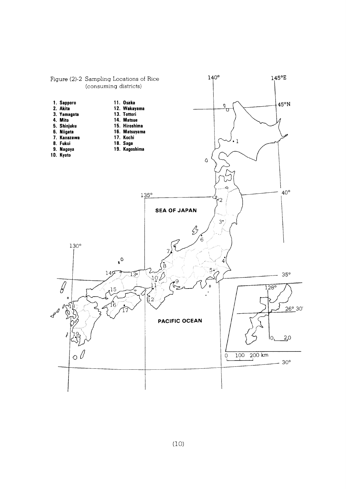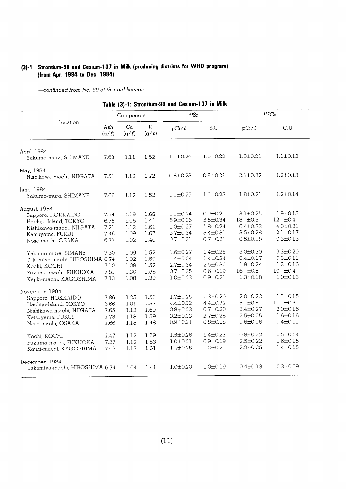# (3)-1 Strontium-90 and Cesium-137 in Milk (producing districts for WHO program) (from Apr. 1984 to Dec. 1984)

|                                                                                                                                   |                                      | Tanie (a) r. ottomami.               |                                      | unu vvəlum                                                                             |                                                                                        |                                                                                      |                                                                                      |  |
|-----------------------------------------------------------------------------------------------------------------------------------|--------------------------------------|--------------------------------------|--------------------------------------|----------------------------------------------------------------------------------------|----------------------------------------------------------------------------------------|--------------------------------------------------------------------------------------|--------------------------------------------------------------------------------------|--|
|                                                                                                                                   |                                      | Component                            |                                      | 90Sr                                                                                   |                                                                                        | $137C_S$                                                                             |                                                                                      |  |
| Location                                                                                                                          | Ash<br>$(g/\ell)$                    | Ca<br>$(g/\ell)$                     | K<br>(g/l)                           | $pCi/\ell$                                                                             | S.U.                                                                                   | $pCi/\ell$                                                                           | C.U.                                                                                 |  |
| April, 1984<br>Yakumo-mura, SHIMANE                                                                                               | 7.63                                 | 1.11                                 | 1.62                                 | $1.1 \pm 0.24$                                                                         | $1.0 \pm 0.22$                                                                         | $1.8 \pm 0.21$                                                                       | $1.1 \pm 0.13$                                                                       |  |
| May, 1984<br>Nishikawa-machi, NIIGATA                                                                                             | 7.51                                 | 1.12                                 | 1.72                                 | $0.8 \pm 0.23$                                                                         | $0.8 \pm 0.21$                                                                         | $2.1 \pm 0.22$                                                                       | $1.2 \pm 0.13$                                                                       |  |
| June, 1984<br>Yakumo-mura, SHIMANE                                                                                                | 7.66                                 | 1.12                                 | 1.52                                 | $1.1 \pm 0.25$                                                                         | $1.0 \pm 0.23$                                                                         | $1.8 + 0.21$                                                                         | $1.2 \pm 0.14$                                                                       |  |
| August, 1984<br>Sapporo, HOKKAIDO<br>Hachijo-Island, TOKYO<br>Nishikawa-machi, NIIGATA<br>Katsuyama, FUKUI<br>Nose-machi, OSAKA   | 7.54<br>6.75<br>7.21<br>7.46<br>6.77 | 1.19<br>1.06<br>1.12<br>1.09<br>1.02 | 1.68<br>1.41<br>1.61<br>1.67<br>1.40 | $1.1 \pm 0.24$<br>$5.9 + 0.36$<br>$2.0 \pm 0.27$<br>$3.7 \pm 0.34$<br>$0.7 \pm 0.21$   | $0.9 + 0.20$<br>5.5±0.34<br>$1.8 \pm 0.24$<br>$3.4 \pm 0.31$<br>$0.7 + 0.21$           | $3.1 \pm 0.25$<br>$18 \pm 0.5$<br>$6.4 \pm 0.33$<br>$3.5 \pm 0.28$<br>$0.5 \pm 0.18$ | $1.9 + 0.15$<br>$12 \pm 0.4$<br>$4.0 \pm 0.21$<br>$2.1 \pm 0.17$<br>$0.3 \pm 0.13$   |  |
| Yakumo-mura, SIMANE<br>Takamiya-machi, HIROSHIMA 6.74<br>Kochi, KOCHI<br>Fukuma-machi, FUKUOKA<br>Kajiki-machi, KAGOSHIMA         | 7.30<br>7.10<br>7.81<br>7.13         | 1.09<br>1.02<br>1.08<br>1.30<br>1.08 | 1.52<br>1.50<br>1.52<br>1.56<br>1.39 | $1.6 \pm 0.27$<br>$1.4 \pm 0.24$<br>$2.7 \pm 0.34$<br>$0.7 \pm 0.25$<br>$1.0 \pm 0.23$ | $1.4 \pm 0.25$<br>$1.4 \pm 0.24$<br>$2.5 \pm 0.32$<br>$0.6 \pm 0.19$<br>$0.9 \pm 0.21$ | $5.0 \pm 0.30$<br>$0.4 \pm 0.17$<br>$1.8 \pm 0.24$<br>$16 \pm 0.5$<br>$1.3 \pm 0.18$ | $3.3 \pm 0.20$<br>$0.3 \pm 0.11$<br>$1.2 \pm 0.16$<br>$10 \pm 0.4$<br>$1.0 \pm 0.13$ |  |
| November, 1984<br>Sapporo, HOKKAIDO<br>Hachijo-Island, TOKYO<br>Nishikawa-machi, NIIGATA<br>Katsuyama, FUKUI<br>Nose-machi, OSAKA | 7.86<br>6.66<br>7.65<br>7.78<br>7.66 | 1.25<br>1.01<br>1.12<br>1.18<br>1.18 | 1.53<br>1.33<br>1.69<br>1.59<br>1.48 | $1.7 + 0.25$<br>$4.4 \pm 0.32$<br>$0.8 + 0.23$<br>$3.2 \pm 0.33$<br>$0.9 + 0.21$       | $1.3 + 0.20$<br>$4.4 \pm 0.32$<br>$0.7 + 0.20$<br>$2.7 + 0.28$<br>$0.8 \pm 0.18$       | $2.0 \pm 0.22$<br>$15 \pm 0.5$<br>$3.4 \pm 0.27$<br>$2.5 \pm 0.25$<br>$0.6 \pm 0.16$ | $1.3 \pm 0.15$<br>$11 \pm 0.3$<br>$2.0 \pm 0.16$<br>$1.6 \pm 0.16$<br>$0.4 \pm 0.11$ |  |
| Kochi, KOCHI<br>Fukuma-machi, FUKUOKA<br>Kajiki-machi, KAGOSHIMA                                                                  | 7.47<br>7.27<br>7.68                 | 1.12<br>1.12<br>1.17                 | 1.59<br>1.53<br>1.61                 | $1.5 \pm 0.26$<br>$1.0 + 0.21$<br>$1.4 + 0.25$                                         | $1.4 \pm 0.23$<br>$0.9 + 0.19$<br>$1.2 \pm 0.21$                                       | $0.8 + 0.22$<br>$2.5 \pm 0.22$<br>$2.2 \pm 0.25$                                     | $0.5 \pm 0.14$<br>$1.6 \pm 0.15$<br>$1.4 \pm 0.15$                                   |  |
| December, 1984<br>Takamiya-machi, HIROSHIMA 6.74                                                                                  |                                      | 1.04                                 | 1.41                                 | $1.0 + 0.20$                                                                           | $1.0 \pm 0.19$                                                                         | $0.4 \pm 0.13$                                                                       | $0.3 \pm 0.09$                                                                       |  |

Table (3)-1: Strontium-90 and Cesium-137 in Milk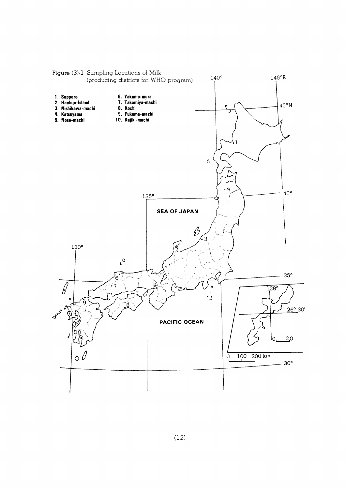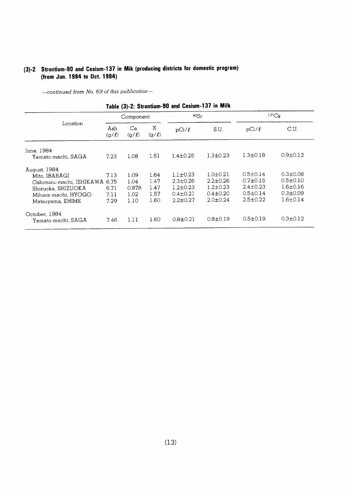# (3)-2 Strontium-90 and Cesium-137 in Mik (producing districts for domestic program) (from Jun. 1984 to Oct. 1984)

-continued from No. 69 of this publication-

|                                                                                                                            |                                      | Component                             |                                      |                                                                                        | $137C_S$<br>90Sr                                                                     |                                                                                        |                                                                                        |  |  |  |
|----------------------------------------------------------------------------------------------------------------------------|--------------------------------------|---------------------------------------|--------------------------------------|----------------------------------------------------------------------------------------|--------------------------------------------------------------------------------------|----------------------------------------------------------------------------------------|----------------------------------------------------------------------------------------|--|--|--|
| Location                                                                                                                   | Ash<br>(g/l)                         | Ca<br>$(g/\ell)$                      | Κ<br>(g/l)                           | $pCi/\ell$                                                                             | S.U.                                                                                 | pCi/l                                                                                  | C.U.                                                                                   |  |  |  |
| June, 1984<br>Yamato-machi, SAGA                                                                                           | 7.23                                 | 1.08                                  | 1.51                                 | $1.4 \pm 0.25$                                                                         | $1.3 + 0.23$                                                                         | $1.3 \pm 0.18$                                                                         | $0.9 + 0.12$                                                                           |  |  |  |
| August, 1984<br>Mito, IBARAGI<br>Oshimizu-machi, ISHIKAWA<br>Shizuoka, SHIZUOKA<br>Mihara-machi, HYOGO<br>Matsuyama, EHIME | 7.13<br>6.75<br>6.71<br>7.11<br>7.29 | 1.09<br>1.04<br>0.978<br>1.02<br>1.10 | 1.64<br>1.47<br>1.47<br>1.57<br>1.60 | $1.1 \pm 0.23$<br>$2.3 \pm 0.26$<br>$1.2 \pm 0.23$<br>$0.4 \pm 0.21$<br>$2.2 \pm 0.27$ | $1.0 \pm 0.21$<br>$2.2 \pm 0.26$<br>$1.2 \pm 0.23$<br>$0.4 \pm 0.20$<br>$2.0 + 0.24$ | $0.5 \pm 0.14$<br>$0.7 \pm 0.15$<br>$2.4 \pm 0.23$<br>$0.5 \pm 0.14$<br>$2.5 \pm 0.22$ | $0.3 \pm 0.08$<br>$0.5 \pm 0.10$<br>$1.6 \pm 0.16$<br>$0.3 \pm 0.09$<br>$1.6 \pm 0.14$ |  |  |  |
| October, 1984<br>Yamato-machi. SAGA                                                                                        | 7.46                                 | 1.11                                  | 1.60                                 | $0.8 + 0.21$                                                                           | $0.8 \pm 0.19$                                                                       | $0.5 \pm 0.19$                                                                         | $0.3 \pm 0.12$                                                                         |  |  |  |

#### Table (3)-2: Strontium-90 and Cesium-137 in Milk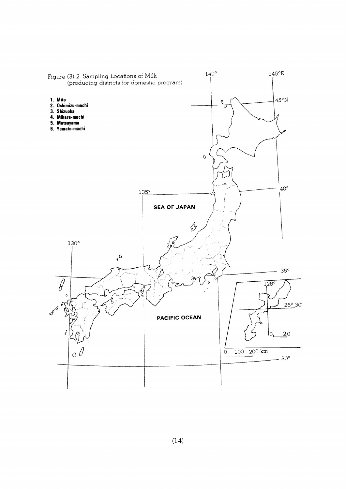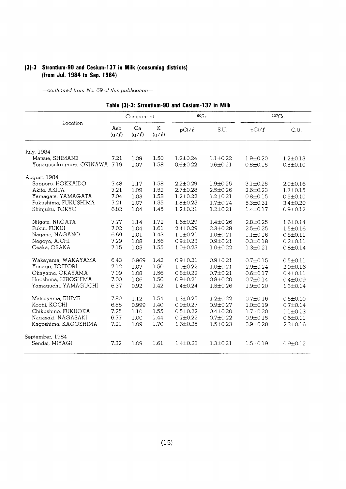# (3)-3 Strontium-90 and Cesium-137 in Milk (consuming districts) (from Jul. 1984 to Sep. 1984)

 $-$ continued from No. 69 of this publication $-$ 

|                               |                   |                  |            | Fadie (3)-3: Strontium-90 and Gesium-T37 in MHK |                |                |                   |
|-------------------------------|-------------------|------------------|------------|-------------------------------------------------|----------------|----------------|-------------------|
|                               |                   | Component        |            | 90Sr                                            |                |                | 137C <sub>S</sub> |
| Location                      | Ash<br>$(g/\ell)$ | Ca<br>$(g/\ell)$ | K<br>(g/l) | $pCi/\ell$                                      | S.U.           | $pCi/\ell$     | C.U.              |
| July, 1984                    |                   |                  |            |                                                 |                |                |                   |
| Matsue, SHIMANE               | 7.21              | 1.09             | 1.50       | $1.2 \pm 0.24$                                  | $1.1 \pm 0.22$ | $1.9 + 0.20$   | $1.2 \pm 0.13$    |
| Yonagusuku-mura, OKINAWA 7.19 |                   | 1.07             | 1.58       | $0.6 + 0.22$                                    | $0.6 \pm 0.21$ | $0.8 + 0.15$   | $0.5 \pm 0.10$    |
| August, 1984                  |                   |                  |            |                                                 |                |                |                   |
| Sapporo, HOKKAIDO             | 7.48              | 1.17             | 1.58       | $2.2 \pm 0.29$                                  | $1.9 \pm 0.25$ | $3.1 \pm 0.25$ | $2.0 \pm 0.16$    |
| Akita, AKITA                  | 7.21              | 1.09             | 1.52       | $2.7 \pm 0.28$                                  | $2.5 \pm 0.26$ | $2.6 \pm 0.23$ | $1.7 + 0.15$      |
| Yamagata, YAMAGATA            | 7.04              | 1.03             | 1.58       | $1.2 \pm 0.22$                                  | $1.2 \pm 0.21$ | $0.8 \pm 0.15$ | $0.5 \pm 0.10$    |
| Fukushima, FUKUSHIMA          | 7.21              | 1.07             | 1.55       | $1.8 + 0.25$                                    | $1.7 \pm 0.24$ | $5.3 \pm 0.31$ | $3.4 \pm 0.20$    |
| Shinjuku, TOKYO               | 6.82              | 1.04             | 1.45       | $1.2 \pm 0.21$                                  | $1.2 \pm 0.21$ | $1.4 \pm 0.17$ | $0.9 \pm 0.12$    |
| Niigata, NIIGATA              | 7.77              | 1.14             | 1.72       | $1.6 \pm 0.29$                                  | $1.4 \pm 0.26$ | $2.8 + 0.25$   | $1.6 \pm 0.14$    |
| Fukui, FUKUI                  | 7.02              | 1.04             | 1.61       | $2.4 \pm 0.29$                                  | $2.3 \pm 0.28$ | $2.5 \pm 0.25$ | $1.5 \pm 0.16$    |
| Nagano, NAGANO                | 6.69              | 1.01             | 1.43       | $1.1 \pm 0.21$                                  | $1.0 \pm 0.21$ | $1.1 \pm 0.16$ | $0.8 \pm 0.11$    |
| Nagoya, AICHI                 | 7.29              | 1.08             | 1.56       | $0.9 + 0.23$                                    | $0.9 + 0.21$   | $0.3 \pm 0.18$ | $0.2 \pm 0.11$    |
| Osaka, OSAKA                  | 7.15              | 1.05             | 1.55       | $1.0 \pm 0.23$                                  | $1.0 \pm 0.22$ | $1.3 \pm 0.21$ | $0.8 + 0.14$      |
| Wakayama, WAKAYAMA            | 6.43              | 0.969            | 1.42       | $0.9 + 0.21$                                    | $0.9 \pm 0.21$ | $0.7 \pm 0.15$ | $0.5 \pm 0.11$    |
| Yonago, TOTTORI               | 7.12              | 1.07             | 1.50       | $1.0 + 0.22$                                    | $1.0 + 0.21$   | $2.9 \pm 0.24$ | $2.0 \pm 0.16$    |
| Okayama, OKAYAMA              | 7.09              | 1.08             | 1.56       | $0.8 + 0.22$                                    | $0.7 \pm 0.21$ | $0.6 \pm 0.17$ | $0.4 \pm 0.11$    |
| Hiroshima, HIROSHIMA          | 7.00              | 1.06             | 1.56       | $0.9 + 0.21$                                    | $0.8 \pm 0.20$ | $0.7 \pm 0.14$ | $0.4 \pm 0.09$    |
| Yamaguchi, YAMAGUCHI          | 6.37              | 0.92             | 1.42       | $1.4 \pm 0.24$                                  | $1.5 \pm 0.26$ | $1.9 + 0.20$   | $1.3 \pm 0.14$    |
| Matsuyama, EHIME              | 7.80              | 1.12             | 1.54       | $1.3 + 0.25$                                    | $1.2 \pm 0.22$ | $0.7 \pm 0.16$ | $0.5 \pm 0.10$    |
| Kochi, KOCHI                  | 6.88              | 0.999            | 1.40       | $0.9 + 0.27$                                    | $0.9 + 0.27$   | $1.0 \pm 0.19$ | $0.7 \pm 0.14$    |
| Chikushino, FUKUOKA           | 7.25              | 1.10             | 1.55       | $0.5 \pm 0.22$                                  | $0.4 \pm 0.20$ | $1.7 + 0.20$   | $1.1 \pm 0.13$    |
| Nagasaki, NAGASAKI            | 6.77              | 1.00             | 1.44       | $0.7 \pm 0.22$                                  | $0.7 \pm 0.22$ | $0.9 + 0.15$   | $0.6 \pm 0.11$    |
| Kagoshima, KAGOSHIMA          | 7.21              | 1.09             | 1.70       | $1.6 + 0.25$                                    | $1.5 \pm 0.23$ | $3.9 \pm 0.28$ | $2.3 \pm 0.16$    |
| September, 1984               |                   |                  |            |                                                 |                |                |                   |
| Sendai, MIYAGI                | 7.32              | 1.09             | 1.61       | $1.4 \pm 0.23$                                  | $1.3 + 0.21$   | $1.5 \pm 0.19$ | $0.9 + 0.12$      |

# Table (3)-3: Strontium-90 and Cesium-137 in Milk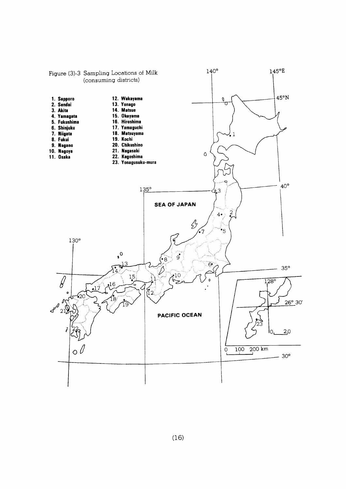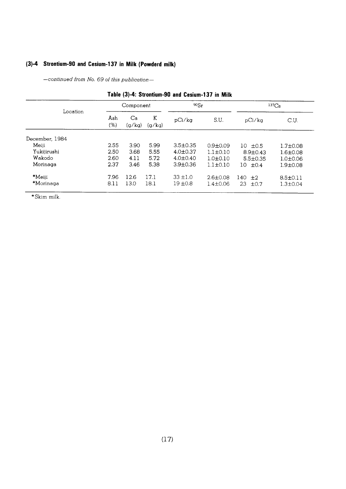# (3)-4 Strontium-90 and Cesium-137 in Milk (Powderd milk)

-continued from No. 69 of this publication-

| LADIG (977, OGUNGUN-30 ANU CCSIUNI-LJ/ III MIIK |            |              |             |                |                |                 |                |  |  |  |  |  |
|-------------------------------------------------|------------|--------------|-------------|----------------|----------------|-----------------|----------------|--|--|--|--|--|
|                                                 |            | Component    |             | 90Sr           |                |                 | $137C_S$       |  |  |  |  |  |
| Location                                        | Ash<br>(%) | Ca<br>(a/ka) | К<br>(q/kq) | pCi/ka         | S.U.           | pCi/ka          | C.U.           |  |  |  |  |  |
| December, 1984                                  |            |              |             |                |                |                 |                |  |  |  |  |  |
| Meiji                                           | 2.55       | 3.90         | 5.99        | $3.5 \pm 0.35$ | $0.9 + 0.09$   | $10 \pm 0.5$    | $1.7 \pm 0.08$ |  |  |  |  |  |
| Yukijirushi                                     | 2.50       | 3.68         | 5.55        | $4.0 \pm 0.37$ | $1.1 \pm 0.10$ | $8.9 \pm 0.43$  | $1.6 \pm 0.08$ |  |  |  |  |  |
| Wakodo                                          | 2.60       | 4.11         | 5.72        | $4.0 \pm 0.40$ | $1.0 \pm 0.10$ | $5.5 \pm 0.35$  | $1.0 \pm 0.06$ |  |  |  |  |  |
| Morinaga                                        | 2.37       | 3.46         | 5.38        | $3.9 \pm 0.36$ | $1.1 \pm 0.10$ | $10 f + 0.4$    | $1.9 + 0.08$   |  |  |  |  |  |
| $*$ Meiii                                       | 7.96       | 12.6         | 17.1        | $33 \pm 1.0$   | $2.6 \pm 0.08$ | 140<br>±2       | $8.5 \pm 0.11$ |  |  |  |  |  |
| *Morinaga                                       | 8.11       | 13.0         | 18.1        | $19 + 0.8$     | $1.4 \pm 0.06$ | 23<br>$\pm 0.7$ | $1.3 \pm 0.04$ |  |  |  |  |  |
|                                                 |            |              |             |                |                |                 |                |  |  |  |  |  |

# Table (3)-4: Strontium-90 and Cesium-137 in Milk

\*Skim milk.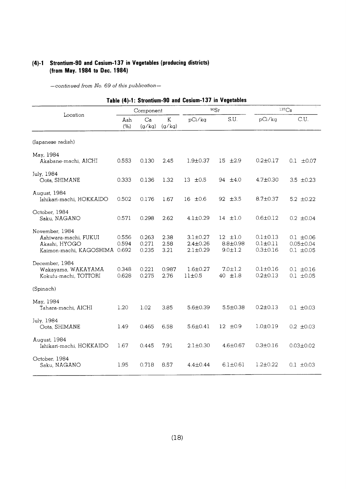# (4)-1 Strontium-90 and Cesium-137 in Vegetables (producing districts) (from May. 1984 to Dec. 1984)

| Table (4)-1: Strontium-90 and Cesium-137 in Vegetables                                    |                |                         |                      |                                                    |                                                 |                                                  |                                                     |  |  |  |
|-------------------------------------------------------------------------------------------|----------------|-------------------------|----------------------|----------------------------------------------------|-------------------------------------------------|--------------------------------------------------|-----------------------------------------------------|--|--|--|
|                                                                                           |                | Component               |                      |                                                    | 90Sr                                            | 137C <sub>S</sub>                                |                                                     |  |  |  |
| Location                                                                                  | Ash<br>(% )    | Ca<br>(g/kg)            | $\rm K$<br>(g/kg)    | pCi/kg                                             | S.U.                                            | pCi/ka                                           | C.U.                                                |  |  |  |
| (Japanese radish)                                                                         |                |                         |                      |                                                    |                                                 |                                                  |                                                     |  |  |  |
| May, 1984<br>Akabane-machi, AICHI                                                         | 0.553          | 0.130                   | 2.45                 | $1.9 + 0.37$                                       | $15 \pm 2.9$                                    | $0.2 \pm 0.17$                                   | $0.1 \pm 0.07$                                      |  |  |  |
| July, 1984<br>Oota, SHIMANE                                                               | 0.333          | 0.136                   | 1.32                 | $13 \pm 0.5$                                       | 94 $\pm 4.0$                                    | $4.7 \pm 0.30$                                   | 3.5 $\pm 0.23$                                      |  |  |  |
| August, 1984<br>Ishikari-machi, HOKKAIDO                                                  | 0.502          | 0.176                   | 1.67                 | $16$ $\pm 0.6$                                     | $92 \pm 3.5$                                    | $8.7 \pm 0.37$                                   | 5.2 $\pm 0.22$                                      |  |  |  |
| October, 1984<br>Saku, NAGANO                                                             | 0.571          | 0.298                   | 2.62                 | $4.1 \pm 0.29$                                     | $14$ $\pm 1.0$                                  | $0.6 \pm 0.12$                                   | $0.2 \pm 0.04$                                      |  |  |  |
| November, 1984<br>Ashiwara-machi, FUKUI<br>Akashi, HYOGO<br>Kaimon-machi, KAGOSHIMA 0.692 | 0.556<br>0.594 | 0.263<br>0.271<br>0.235 | 2.38<br>2.58<br>3.21 | $3.1 \pm 0.27$<br>$2.4 \pm 0.26$<br>$2.1 \pm 0.29$ | $12$ $\pm 1.0$<br>$8.8 + 0.98$<br>$9.0 \pm 1.2$ | $0.1 \pm 0.13$<br>$0.1 + 0.11$<br>$0.3 \pm 0.16$ | $0.1 \pm 0.06$<br>$0.05 \pm 0.04$<br>$0.1 \pm 0.05$ |  |  |  |
| December, 1984<br>Wakayama, WAKAYAMA<br>Kokufu-machi, TOTTORI                             | 0.348<br>0.628 | 0.221<br>0.275          | 0.987<br>2.76        | $1.6 \pm 0.27$<br>11±0.5                           | $7.0 \pm 1.2$<br>40 ±1.8                        | $0.1 \pm 0.16$<br>$0.2 \pm 0.13$                 | $0.1 \pm 0.16$<br>$0.1 \pm 0.05$                    |  |  |  |
| (Spinach)                                                                                 |                |                         |                      |                                                    |                                                 |                                                  |                                                     |  |  |  |
| May, 1984<br>Tahara-machi, AICHI                                                          | 1.20           | 1.02                    | 3.85                 | 5.6±0.39                                           | $5.5 \pm 0.38$                                  | $0.2 \pm 0.13$                                   | $0.1 \pm 0.03$                                      |  |  |  |
| July, 1984<br>Oota, SHIMANE                                                               | 1.49           | 0.465                   | 6.58                 | $5.6 \pm 0.41$                                     | $12 \pm 0.9$                                    | $1.0 + 0.19$                                     | $0.2 \pm 0.03$                                      |  |  |  |
| August, 1984<br>Ishikari-machi, HOKKAIDO                                                  | 1.67           | 0.445                   | 7.91                 | $2.1 \pm 0.30$                                     | $4.6 \pm 0.67$                                  | $0.3 + 0.16$                                     | $0.03 \pm 0.02$                                     |  |  |  |
| October, 1984<br>Saku, NAGANO                                                             | 1.95           | 0.718                   | 8.57                 | $4.4 \pm 0.44$                                     | $6.1 \pm 0.61$                                  | $1.2 \pm 0.22$                                   | $0.1 \pm 0.03$                                      |  |  |  |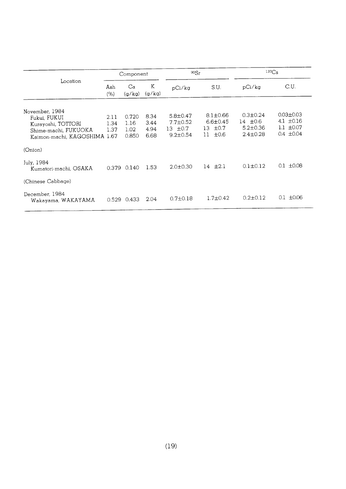|                                                                                                              | Component            |                                |                              | 90Sr                                                               |                                                                   | $137C_S$                                                           |                                                                       |
|--------------------------------------------------------------------------------------------------------------|----------------------|--------------------------------|------------------------------|--------------------------------------------------------------------|-------------------------------------------------------------------|--------------------------------------------------------------------|-----------------------------------------------------------------------|
| Location                                                                                                     | Ash<br>(% )          | Ca<br>(q/kq)                   | K<br>(g/kg)                  | pCi/kg                                                             | S.U.                                                              | pCi/kg                                                             | C.U.                                                                  |
| November, 1984<br>Fukui, FUKUI<br>Kurayoshi, TOTTORI<br>Shime-machi, FUKUOKA<br>Kaimon-machi, KAGOSHIMA 1.67 | 2.11<br>1.34<br>1.37 | 0.720<br>1.16<br>1.02<br>0.850 | 8.34<br>3.44<br>4.94<br>6.68 | $5.8 \pm 0.47$<br>$7.7 \pm 0.52$<br>13 $\pm 0.7$<br>$9.2 \pm 0.54$ | $8.1 \pm 0.66$<br>$6.6 \pm 0.45$<br>$\pm 0.7$<br>13<br>±0.6<br>11 | $0.3 \pm 0.24$<br>14 $\pm 0.6$<br>$5.2 \pm 0.36$<br>$2.4 \pm 0.28$ | $0.03 \pm 0.03$<br>4.1 $\pm 0.16$<br>$1.1 \pm 0.07$<br>$0.4 \pm 0.04$ |
| (Onion)<br>July, 1984<br>Kumatori-machi, OSAKA                                                               |                      | 0.379 0.140                    | 1.53                         | $2.0 \pm 0.30$                                                     | $14 \pm 2.1$                                                      | $0.1 \pm 0.12$                                                     | $0.1 \pm 0.08$                                                        |
| (Chinese Cabbage)<br>December, 1984<br>Wakayama, WAKAYAMA                                                    | 0.529                | 0.433                          | 2.04                         | $0.7 + 0.18$                                                       | $1.7 \pm 0.42$                                                    | $0.2 \pm 0.12$                                                     | ±0.06<br>0.1                                                          |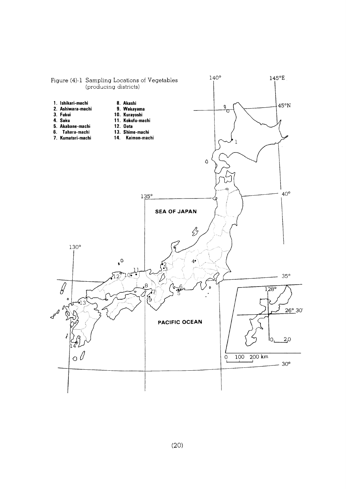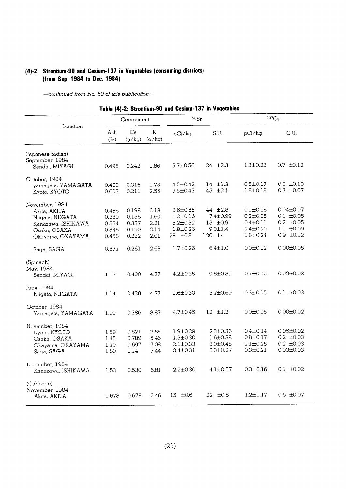# (4)-2 Strontium-90 and Cesium-137 in Vegetables (consuming districts) (from Sep. 1984 to Dec. 1984)

|                                                                                                              |                                           | Component                                 |                                      | 90Sr                                                                          |                                                                           | 137C <sub>S</sub>                                                                      |                                                                                         |  |
|--------------------------------------------------------------------------------------------------------------|-------------------------------------------|-------------------------------------------|--------------------------------------|-------------------------------------------------------------------------------|---------------------------------------------------------------------------|----------------------------------------------------------------------------------------|-----------------------------------------------------------------------------------------|--|
| Location                                                                                                     | Ash<br>(% )                               | Ca<br>(g/kg)                              | K<br>(g/kg)                          | pCi/kg                                                                        | S.U.                                                                      | pCi/kg                                                                                 | C.U.                                                                                    |  |
| (Japanese radish)<br>September, 1984<br>Sendai, MIYAGI                                                       | 0.495                                     | 0.242                                     | 1.86                                 | $5.7 \pm 0.56$                                                                | $24 \pm 2.3$                                                              | $1.3 \pm 0.22$                                                                         | $0.7 \pm 0.12$                                                                          |  |
| October, 1984<br>yamagata, YAMAGATA<br>Kyoto, KYOTO                                                          | 0.463<br>0.603                            | 0.316<br>0.211                            | 1.73<br>2.55                         | $4.5 \pm 0.42$<br>$9.5 \pm 0.43$                                              | $14$ $\pm 1.3$<br>45 ±2.1                                                 | $0.5 \pm 0.17$<br>$1.8 \pm 0.18$                                                       | $0.3 \pm 0.10$<br>$0.7 \pm 0.07$                                                        |  |
| November, 1984<br>Akita, AKITA<br>Niigata, NIIGATA<br>Kanazawa, ISHIKAWA<br>Osaka, OSAKA<br>Okayama, OKAYAMA | 0.486<br>0.380<br>0.554<br>0.548<br>0.458 | 0.198<br>0.156<br>0.337<br>0.190<br>0.232 | 2.18<br>1.60<br>2.21<br>2.14<br>2.01 | $8.6 \pm 0.55$<br>$1.2 \pm 0.16$<br>$5.2 \pm 0.32$<br>$1.8 + 0.26$<br>28 ±0.8 | 44 ±2.8<br>$7.4 \pm 0.99$<br>$15 \pm 0.9$<br>$9.0 \pm 1.4$<br>120 $\pm 4$ | $0.1 \pm 0.16$<br>$0.2 \pm 0.08$<br>$0.4 \pm 0.11$<br>$2.4 \pm 0.20$<br>$1.8 \pm 0.24$ | $0.04 \pm 0.07$<br>$0.1 \pm 0.05$<br>$0.2 \pm 0.05$<br>$1.1 \pm 0.09$<br>$0.9 \pm 0.12$ |  |
| Saga, SAGA                                                                                                   | 0.577                                     | 0.261                                     | 2.68                                 | $1.7 \pm 0.26$                                                                | $6.4 \pm 1.0$                                                             | $0.0 \pm 0.12$                                                                         | $0.00 \pm 0.05$                                                                         |  |
| (Spinach)<br>May, 1984<br>Sendai, MIYAGI<br>June, 1984                                                       | 1.07                                      | 0.430                                     | 4.77                                 | $4.2 \pm 0.35$                                                                | $9.8 \pm 0.81$                                                            | $0.1 \pm 0.12$                                                                         | $0.02 \pm 0.03$                                                                         |  |
| Niigata, NIIGATA<br>October, 1984<br>Yamagata, YAMAGATA                                                      | 1.14<br>1.90                              | 0.438<br>0.386                            | 4.77<br>8.87                         | $1.6 \pm 0.30$<br>4.7±0.45                                                    | $3.7 \pm 0.69$<br>$12 \pm 1.2$                                            | $0.3 \pm 0.15$<br>$0.0 \pm 0.15$                                                       | $0.1 \pm 0.03$<br>$0.00 \pm 0.02$                                                       |  |
| November, 1984<br>Kyoto, KYOTO<br>Osaka, OSAKA<br>Okayama, OKAYAMA<br>Saga, SAGA                             | 1.59<br>1.45<br>1.70<br>1.80              | 0.821<br>0.789<br>0.697<br>1.14           | 7.65<br>5.46<br>7.08<br>7.44         | $1.9 \pm 0.29$<br>$1.3 \pm 0.30$<br>2.1±0.33<br>$0.4 \pm 0.31$                | $2.3 \pm 0.36$<br>$1.6 \pm 0.38$<br>$3.0 \pm 0.48$<br>$0.3 \pm 0.27$      | $0.4 \pm 0.14$<br>$0.8 \pm 0.17$<br>$1.1 \pm 0.25$<br>$0.3 \pm 0.21$                   | $0.05 \pm 0.02$<br>$0.2 \pm 0.03$<br>$0.2 \pm 0.03$<br>$0.03 + 0.03$                    |  |
| December, 1984<br>Kanazawa, ISHIKAWA                                                                         | 1.53                                      | 0.530                                     | 6.81                                 | $2.2 \pm 0.30$                                                                | $4.1{\pm}0.57$                                                            | $0.3 \pm 0.16$                                                                         | $0.1 \pm 0.02$                                                                          |  |
| (Cabbage)<br>November, 1984<br>Akita, AKITA                                                                  | 0.678                                     | 0.678                                     | 2.46                                 | $15 \pm 0.6$                                                                  | $22 \pm 0.8$                                                              | $1.2 \pm 0.17$                                                                         | $0.5 \pm 0.07$                                                                          |  |

|  | Table (4)-2: Strontium-90 and Cesium-137 in Vegetables |  |  |
|--|--------------------------------------------------------|--|--|
|  |                                                        |  |  |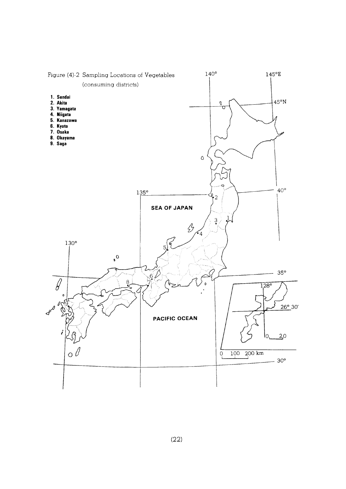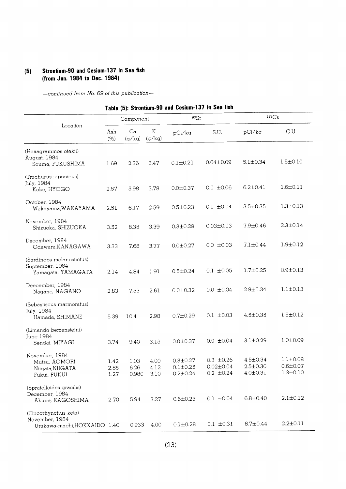# (5) Strontium-90 and Cesium-137 in Sea fish (from Jun. 1984 to Dec. 1984)

|                                                                       |                      |                       |                      | Table (5): Strontium-90 and Cesium-137 in Sea fish |                                                     |                                              |                                                    |
|-----------------------------------------------------------------------|----------------------|-----------------------|----------------------|----------------------------------------------------|-----------------------------------------------------|----------------------------------------------|----------------------------------------------------|
|                                                                       |                      | Component             |                      | 90Sr                                               |                                                     | $137C_S$                                     |                                                    |
| Location                                                              | Ash<br>(% )          | Ca<br>(g/kg)          | K<br>(g/kg)          | pCi/kg                                             | S.U.                                                | pCi/kg                                       | C.U.                                               |
| (Hexagrammos otakii)<br>August, 1984<br>Souma, FUKUSHIMA              | 1.69                 | 2.36                  | 3.47                 | $0.1 \pm 0.21$                                     | $0.04 \pm 0.09$                                     | $5.1 \pm 0.34$                               | $1.5 \pm 0.10$                                     |
| (Trachurus japonicus)<br>July, 1984<br>Kobe, HYOGO                    | 2.57                 | 5.98                  | 3.78                 | $0.0 \pm 0.37$                                     | $0.0 \pm 0.06$                                      | $6.2 \pm 0.41$                               | $1.6 \pm 0.11$                                     |
| October, 1984<br>Wakayama, WAKAYAMA                                   | 2.51                 | 6.17                  | 2.59                 | $0.5 \pm 0.23$                                     | $0.1 \pm 0.04$                                      | 3.5±0.35                                     | $1.3 \pm 0.13$                                     |
| November, 1984<br>Shizuoka, SHIZUOKA                                  | 3.52                 | 8.35                  | 3.39                 | $0.3 \pm 0.29$                                     | $0.03 \pm 0.03$                                     | $7.9 \pm 0.46$                               | $2.3 \pm 0.14$                                     |
| December, 1984<br>Odawara, KANAGAWA                                   | 3.33                 | 7.68                  | 3.77                 | $0.0 \pm 0.27$                                     | $0.0 \pm 0.03$                                      | $7.1 \pm 0.44$                               | $1.9 \pm 0.12$                                     |
| (Sardinops melanostictus)<br>September, 1984<br>Yamagata, YAMAGATA    | 2.14                 | 4.84                  | 1.91                 | $0.5 \pm 0.24$                                     | $0.1 \pm 0.05$                                      | $1.7 \pm 0.25$                               | $0.9 \pm 0.13$                                     |
| Deecember, 1984<br>Nagano, NAGANO                                     | 2.83                 | 7.33                  | 2.61                 | $0.0 + 0.32$                                       | $0.0 \pm 0.04$                                      | $2.9 \pm 0.34$                               | $1.1 \pm 0.13$                                     |
| (Sebastiscus marmoratus)<br>July, 1984<br>Hamada, SHIMANE             | 5.39                 | 10.4                  | 2.98                 | $0.7 \pm 0.29$                                     | $0.1 \pm 0.03$                                      | $4.5 \pm 0.35$                               | $1.5 \pm 0.12$                                     |
| (Limanda berzensteini)<br><b>June 1984</b><br>Sendai, MIYAGI          | 3.74                 | 9.40                  | 3.15                 | $0.0 \pm 0.37$                                     | $0.0 \pm 0.04$                                      | $3.1 \pm 0.29$                               | $1.0 \pm 0.09$                                     |
| November, 1984<br>Mutsu, AOMORI<br>Niigata, NIIGATA<br>Fukui, FUKUI   | 1.42<br>2.85<br>1.27 | 1.03<br>6.26<br>0.980 | 4.00<br>4.12<br>3.10 | $0.3 \pm 0.27$<br>$0.1 + 0.25$<br>$0.2 \pm 0.24$   | $0.3 \pm 0.26$<br>$0.02 \pm 0.04$<br>$0.2 \pm 0.24$ | 4.5±0.34<br>$2.5 \pm 0.30$<br>$4.0 \pm 0.31$ | $1.1 \pm 0.08$<br>$0.6 \pm 0.07$<br>$1.3 \pm 0.10$ |
| (Spratelloides gracilis)<br>December, 1984<br>Akune, KAGOSHIMA        | 2.70                 | 5.94                  | 3.27                 | $0.6 \pm 0.23$                                     | $0.1 \pm 0.04$                                      | $6.8 \pm 0.40$                               | $2.1 \pm 0.12$                                     |
| (Oncorhynchus keta)<br>November, 1984<br>Urakawa-machi, HOKKAIDO 1.40 |                      | 0.933                 | 4.00                 | $0.1 + 0.28$                                       | $0.1 \pm 0.31$                                      | $8.7 \pm 0.44$                               | $2.2 \pm 0.11$                                     |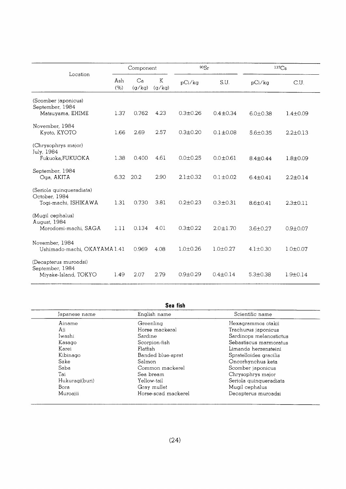|                                                                   | Component   |              |             | 90Sr           |                | 137C <sub>S</sub> |                |
|-------------------------------------------------------------------|-------------|--------------|-------------|----------------|----------------|-------------------|----------------|
| Location                                                          | Ash<br>(% ) | Ca<br>(g/kg) | K<br>(q/kq) | pCi/kg         | S.U.           | pCi/kg            | C.U.           |
| (Scomber japonicus)<br>September, 1984<br>Matsuyama, EHIME        | 1.37        | 0.762        | 4.23        | $0.3 + 0.26$   | $0.4 \pm 0.34$ | $6.0 \pm 0.38$    | $1.4 \pm 0.09$ |
| November, 1984<br>Kyoto, KYOTO                                    | 1.66        | 2.69         | 2.57        | $0.3 \pm 0.20$ | $0.1 \pm 0.08$ | $5.6 + 0.35$      | $2.2 \pm 0.13$ |
| (Chrysophrys major)<br>July, 1984<br>Fukuoka, FUKUOKA             | 1.38        | 0.400        | 4.61        | $0.0 + 0.25$   | $0.0 + 0.61$   | $8.4 \pm 0.44$    | $1.8 + 0.09$   |
| September, 1984<br>Oga, AKITA                                     | 6.32        | 20.2         | 2.90        | $2.1 \pm 0.32$ | $0.1 + 0.02$   | $6.4 + 0.41$      | $2.2 \pm 0.14$ |
| (Seriola quinqueradiata)<br>October, 1984<br>Togi-machi, ISHIKAWA | 1.31        | 0.730        | 3.81        | $0.2 \pm 0.23$ | $0.3 + 0.31$   | $8.6 + 0.41$      | $2.3 + 0.11$   |
| (Mugil cephalus)<br>August, 1984<br>Morodomi-machi, SAGA          | 1.11        | 0.134        | 4.01        | $0.3 + 0.22$   | $2.0 + 1.70$   | $3.6 + 0.27$      | $0.9 + 0.07$   |
| November, 1984<br>Ushimado-machi, OKAYAMA 1.41                    |             | 0.969        | 4.08        | $1.0 + 0.26$   | $1.0 + 0.27$   | $4.1 \pm 0.30$    | $1.0 + 0.07$   |
| (Decapterus muroadsi)<br>September, 1984<br>Miyake-Island, TOKYO  | 1.49        | 2.07         | 2.79        | $0.9 + 0.29$   | $0.4 \pm 0.14$ | $5.3 \pm 0.38$    | $1.9 \pm 0.14$ |

| Japanese name  | English name        | Scientific name         |
|----------------|---------------------|-------------------------|
| Ainame         | Greenling           | Hexagrammos otakii      |
| Aji            | Horse mackeral      | Trachurus japonicus     |
| Iwashi         | Sardine             | Sardinops melanostictus |
| Kasago         | Scorpion-fish       | Sebastiscus marmoratus  |
| Karei          | Flatfish            | Limanda herzensteini    |
| Kibinago       | Banded blue-sprat   | Spratelloides gracilis  |
| Sake           | Salmon              | Oncorhynchus keta       |
| Saba           | Common mackerel     | Scomber japonicus       |
| Tai            | Sea bream           | Chrysophrys major       |
| Hukuragi(buri) | Yellow-tail         | Seriola quinqueradiata  |
| Bora           | Gray mullet         | Mugil cephalus          |
| Muroajii       | Horse-scad mackerel | Decapterus muroadsi     |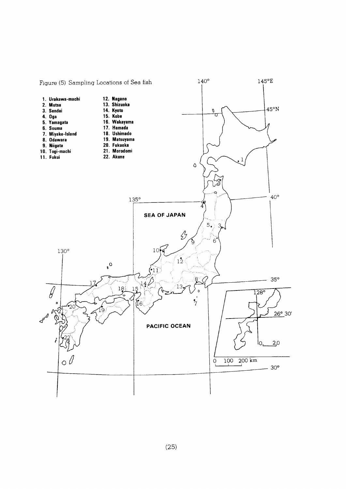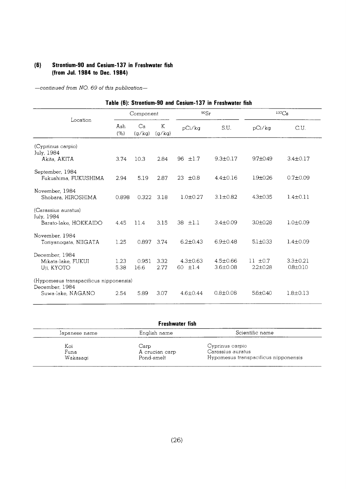# (6) Strontium-90 and Cesium-137 in Freshwater fish (from Jul. 1984 to Dec. 1984)

|                                                                               |              |               |              |                                | Table (6): Strontium-90 and Cesium-137 in Freshwater fish |                              |                                  |
|-------------------------------------------------------------------------------|--------------|---------------|--------------|--------------------------------|-----------------------------------------------------------|------------------------------|----------------------------------|
|                                                                               |              | Component     |              | 90Sr                           |                                                           |                              | $137C_S$                         |
| Location                                                                      | Ash<br>(% )  | Ca<br>(q/kg)  | K<br>(g/kg)  | pCi/kg                         | S.U.                                                      | pCi/kg                       | C.U.                             |
| (Cyprinus carpio)<br>July, 1984<br>Akita, AKITA                               | 3.74         | 10.3          | 2.84         | 96 $\pm 1.7$                   | $9.3 \pm 0.17$                                            | $9.7 + 0.49$                 | $3.4 \pm 0.17$                   |
| September, 1984<br>Fukushima, FUKUSHIMA                                       | 2.94         | 5.19          | 2.87         | ±0.8<br>23                     | $4.4 \pm 0.16$                                            | $1.9 \pm 0.26$               | $0.7 \pm 0.09$                   |
| November, 1984<br>Shobara, HIROSHIMA                                          | 0.898        | 0.322         | 3.18         | $1.0 + 0.27$                   | $3.1 \pm 0.82$                                            | $4.3 \pm 0.35$               | $1.4 \pm 0.11$                   |
| (Carassius auratus)<br>July, 1984<br>Barato-lake, HOKKAIDO                    | 4.45         | 11.4          | 3.15         | 38 $\pm 1.1$                   | $3.4 \pm 0.09$                                            | $3.0 + 0.28$                 | $1.0 \pm 0.09$                   |
| November, 1984<br>Toriyanogata, NIIGATA                                       | 1.25         | 0.897 3.74    |              | $6.2 \pm 0.43$                 | $6.9 + 0.48$                                              | $5.1 \pm 0.33$               | $1.4 + 0.09$                     |
| December, 1984<br>Mikata-lake, FUKUI<br>Uii, KYOTO                            | 1.23<br>5.38 | 0.951<br>16.6 | 3.32<br>2.77 | $4.3 \pm 0.63$<br>60 $\pm 1.4$ | $4.5 \pm 0.66$<br>$3.6 \pm 0.08$                          | $11 + 0.7$<br>$2.2 \pm 0.28$ | $3.3 \pm 0.21$<br>$0.8 \pm 0.10$ |
| (Hypomesus transpacificus nipponensis)<br>December, 1984<br>Suwa-lake, NAGANO | 2.54         | 5.89          | 3.07         | $4.6 \pm 0.44$                 | $0.8 \pm 0.08$                                            | $5.6 \pm 0.40$               | $1.8 \pm 0.13$                   |

|  |  | Table (6): Strontium-90 and Cesium-137 in Freshwater fish |  |  |  |  |  |
|--|--|-----------------------------------------------------------|--|--|--|--|--|
|--|--|-----------------------------------------------------------|--|--|--|--|--|

| Freshwater fish |                |                                      |  |  |  |
|-----------------|----------------|--------------------------------------|--|--|--|
| Japanese name   | English name   | Scientific name                      |  |  |  |
| Koi             | Carp           | Cyprinus carpio                      |  |  |  |
| Funa            | A crucian carp | Carassius auratus                    |  |  |  |
| Wakasagi        | Pond-smelt     | Hypomesus transpacificus nipponensis |  |  |  |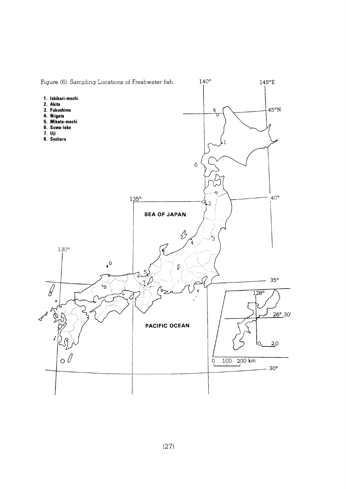

 $(27)$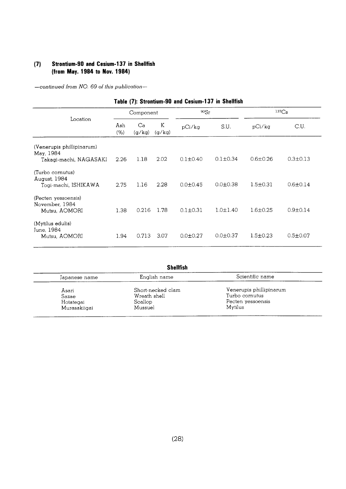#### **Strontium-90 and Cesium-137 in Shellfish**  $(7)$ (from May. 1984 to Nov. 1984)

|                                                          |             |              |             |                | Table (7): Strontium-90 and Cesium-137 in Shellfish |                |                |
|----------------------------------------------------------|-------------|--------------|-------------|----------------|-----------------------------------------------------|----------------|----------------|
|                                                          | Component   |              |             | 90Sr           |                                                     | $137C_S$       |                |
| Location                                                 | Ash<br>(% ) | Ca<br>(g/kg) | K<br>(g/kg) | pCi/kg         | S.U.                                                | pCi/kg         | C.U.           |
| (Venerupis phillipinarum)<br>May, 1984                   |             |              |             |                |                                                     |                |                |
| Takagi-machi, NAGASAKI                                   | 2.26        | 1.18         | 2.02        | $0.1 \pm 0.40$ | $0.1 \pm 0.34$                                      | $0.6 \pm 0.26$ | $0.3 \pm 0.13$ |
| (Turbo cornutus)<br>August, 1984<br>Togi-machi, ISHIKAWA | 2.75        | 1.16         | 2.28        | $0.0 \pm 0.45$ | $0.0 + 0.38$                                        | $1.5 \pm 0.31$ | $0.6 \pm 0.14$ |
| (Pecten yessoensis)<br>November, 1984<br>Mutsu, AOMORI   | 1.38        | 0.216        | 1.78        | $0.1 \pm 0.31$ | $1.0 \pm 1.40$                                      | $1.6 \pm 0.25$ | $0.9 \pm 0.14$ |
| (Mytilus edulis)<br>June, 1984<br>Mutsu, AOMORI          | 1.94        | 0.713        | 3.07        | $0.0 \pm 0.27$ | $0.0 \pm 0.37$                                      | $1.5 \pm 0.23$ | $0.5 \pm 0.07$ |

|  |  | Table (7): Strontium-90 and Cesium-137 in Shellfish |  |  |  |  |
|--|--|-----------------------------------------------------|--|--|--|--|
|--|--|-----------------------------------------------------|--|--|--|--|

| Japanese name | English name      | Scientific name         |  |
|---------------|-------------------|-------------------------|--|
| Asari         | Short-necked clam | Venerupis phillipinarum |  |
| Sazae         | Wreath shell      | Turbo cornutus          |  |
| Hotategai     | Scallop           | Pecten yessoensis       |  |
| Murasakiigai  | Mussuel           | Mytilus                 |  |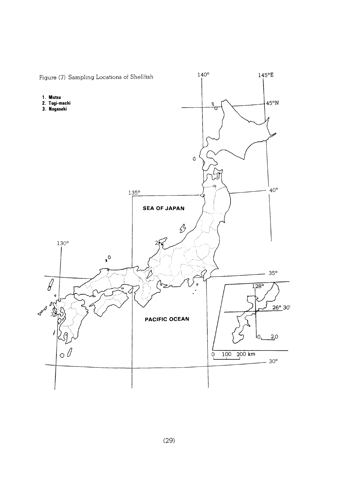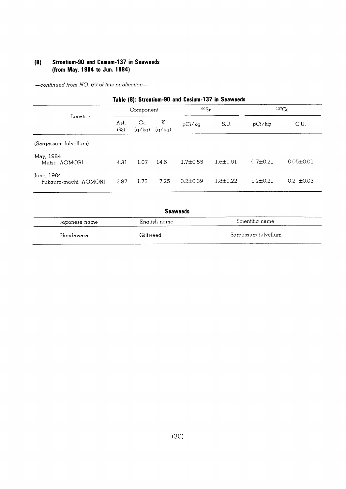#### **Strontium-90 and Cesium-137 in Seaweeds**  $(8)$ (from May. 1984 to Jun. 1984)

| Table (8): Strontium-90 and Cesium-137 in Seaweeds |             |              |             |                |                |                |                 |  |
|----------------------------------------------------|-------------|--------------|-------------|----------------|----------------|----------------|-----------------|--|
| Location                                           | Component   |              | 90Sr        |                | $137C_S$       |                |                 |  |
|                                                    | Ash<br>(% ) | Ca<br>(g/kg) | K<br>(g/kg) | pCi/ka         | S.U.           | pCi/kg         | C.U.            |  |
| (Sargassum fulvellum)                              |             |              |             |                |                |                |                 |  |
| May, 1984<br>Mutsu, AOMORI                         | 4.31        | 1.07         | 14.6        | $1.7 + 0.55$   | $1.6 + 0.51$   | $0.7 \pm 0.21$ | $0.05 \pm 0.01$ |  |
| June, 1984<br>Fukaura-machi, AOMORI                | 2.87        | 1.73         | 7.25        | $3.2 \pm 0.39$ | $1.8 \pm 0.22$ | $1.2 \pm 0.21$ | $0.2 \pm 0.03$  |  |

| <b>Seaweeds</b> |              |                     |  |  |  |
|-----------------|--------------|---------------------|--|--|--|
| Japanese name   | English name | Scientific name     |  |  |  |
| Hondawara       | Gilfweed     | Sargassum fulvellum |  |  |  |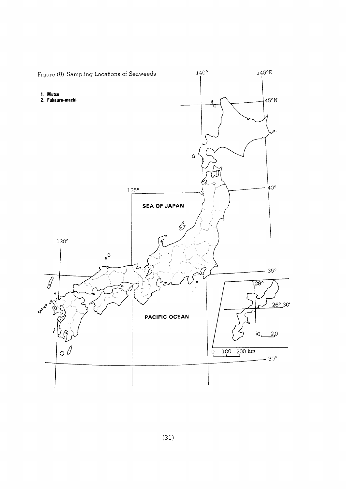